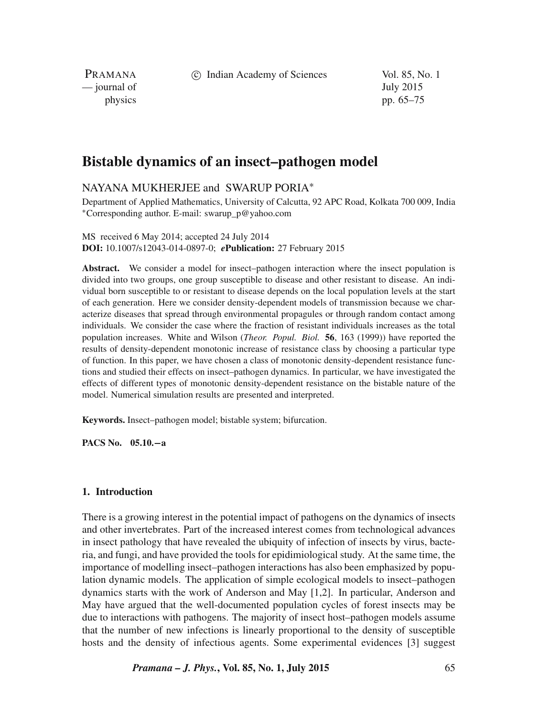c Indian Academy of Sciences Vol. 85, No. 1

PRAMANA — journal of July 2015

physics pp. 65–75

# **Bistable dynamics of an insect–pathogen model**

## NAYANA MUKHERJEE and SWARUP PORIA<sup>∗</sup>

Department of Applied Mathematics, University of Calcutta, 92 APC Road, Kolkata 700 009, India <sup>∗</sup>Corresponding author. E-mail: swarup\_p@yahoo.com

#### MS received 6 May 2014; accepted 24 July 2014 **DOI:** 10.1007/s12043-014-0897-0; *e***Publication:** 27 February 2015

**Abstract.** We consider a model for insect–pathogen interaction where the insect population is divided into two groups, one group susceptible to disease and other resistant to disease. An individual born susceptible to or resistant to disease depends on the local population levels at the start of each generation. Here we consider density-dependent models of transmission because we characterize diseases that spread through environmental propagules or through random contact among individuals. We consider the case where the fraction of resistant individuals increases as the total population increases. White and Wilson (*Theor. Popul. Biol.* **56**, 163 (1999)) have reported the results of density-dependent monotonic increase of resistance class by choosing a particular type of function. In this paper, we have chosen a class of monotonic density-dependent resistance functions and studied their effects on insect–pathogen dynamics. In particular, we have investigated the effects of different types of monotonic density-dependent resistance on the bistable nature of the model. Numerical simulation results are presented and interpreted.

**Keywords.** Insect–pathogen model; bistable system; bifurcation.

**PACS No. 05.10.**−**a**

## **1. Introduction**

There is a growing interest in the potential impact of pathogens on the dynamics of insects and other invertebrates. Part of the increased interest comes from technological advances in insect pathology that have revealed the ubiquity of infection of insects by virus, bacteria, and fungi, and have provided the tools for epidimiological study. At the same time, the importance of modelling insect–pathogen interactions has also been emphasized by population dynamic models. The application of simple ecological models to insect–pathogen dynamics starts with the work of Anderson and May [1,2]. In particular, Anderson and May have argued that the well-documented population cycles of forest insects may be due to interactions with pathogens. The majority of insect host–pathogen models assume that the number of new infections is linearly proportional to the density of susceptible hosts and the density of infectious agents. Some experimental evidences [3] suggest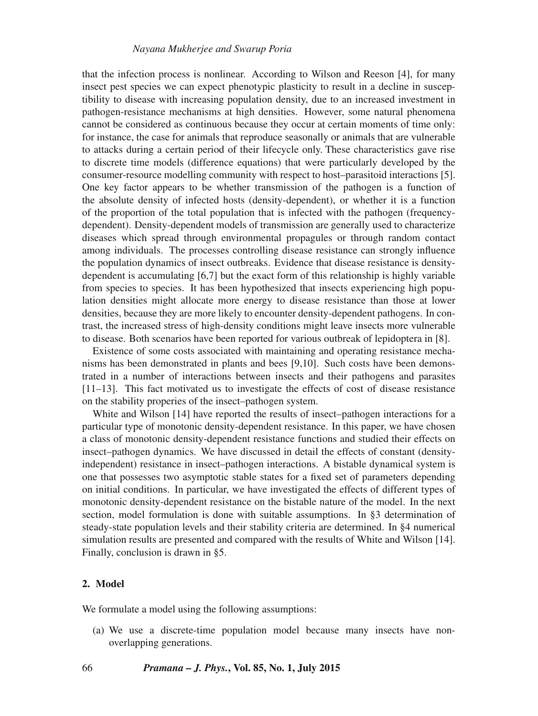that the infection process is nonlinear. According to Wilson and Reeson [4], for many insect pest species we can expect phenotypic plasticity to result in a decline in susceptibility to disease with increasing population density, due to an increased investment in pathogen-resistance mechanisms at high densities. However, some natural phenomena cannot be considered as continuous because they occur at certain moments of time only: for instance, the case for animals that reproduce seasonally or animals that are vulnerable to attacks during a certain period of their lifecycle only. These characteristics gave rise to discrete time models (difference equations) that were particularly developed by the consumer-resource modelling community with respect to host–parasitoid interactions [5]. One key factor appears to be whether transmission of the pathogen is a function of the absolute density of infected hosts (density-dependent), or whether it is a function of the proportion of the total population that is infected with the pathogen (frequencydependent). Density-dependent models of transmission are generally used to characterize diseases which spread through environmental propagules or through random contact among individuals. The processes controlling disease resistance can strongly influence the population dynamics of insect outbreaks. Evidence that disease resistance is densitydependent is accumulating [6,7] but the exact form of this relationship is highly variable from species to species. It has been hypothesized that insects experiencing high population densities might allocate more energy to disease resistance than those at lower densities, because they are more likely to encounter density-dependent pathogens. In contrast, the increased stress of high-density conditions might leave insects more vulnerable to disease. Both scenarios have been reported for various outbreak of lepidoptera in [8].

Existence of some costs associated with maintaining and operating resistance mechanisms has been demonstrated in plants and bees [9,10]. Such costs have been demonstrated in a number of interactions between insects and their pathogens and parasites [11–13]. This fact motivated us to investigate the effects of cost of disease resistance on the stability properies of the insect–pathogen system.

White and Wilson [14] have reported the results of insect–pathogen interactions for a particular type of monotonic density-dependent resistance. In this paper, we have chosen a class of monotonic density-dependent resistance functions and studied their effects on insect–pathogen dynamics. We have discussed in detail the effects of constant (densityindependent) resistance in insect–pathogen interactions. A bistable dynamical system is one that possesses two asymptotic stable states for a fixed set of parameters depending on initial conditions. In particular, we have investigated the effects of different types of monotonic density-dependent resistance on the bistable nature of the model. In the next section, model formulation is done with suitable assumptions. In §3 determination of steady-state population levels and their stability criteria are determined. In §4 numerical simulation results are presented and compared with the results of White and Wilson [14]. Finally, conclusion is drawn in §5.

## **2. Model**

We formulate a model using the following assumptions:

(a) We use a discrete-time population model because many insects have nonoverlapping generations.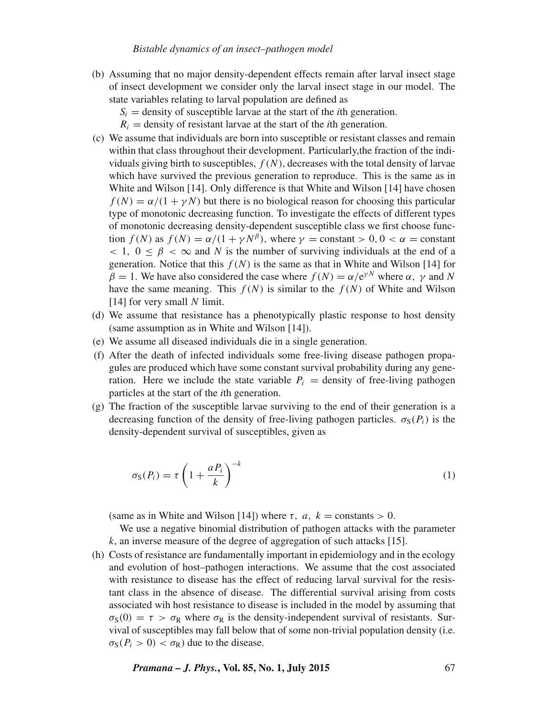#### *Bistable dynamics of an insect–pathogen model*

- (b) Assuming that no major density-dependent effects remain after larval insect stage of insect development we consider only the larval insect stage in our model. The state variables relating to larval population are defined as
	- $S_i$  = density of susceptible larvae at the start of the *i*th generation.
	- $R_i$  = density of resistant larvae at the start of the *i*th generation.
- (c) We assume that individuals are born into susceptible or resistant classes and remain within that class throughout their development. Particularly,the fraction of the individuals giving birth to susceptibles,  $f(N)$ , decreases with the total density of larvae which have survived the previous generation to reproduce. This is the same as in White and Wilson [14]. Only difference is that White and Wilson [14] have chosen  $f(N) = \alpha/(1 + \gamma N)$  but there is no biological reason for choosing this particular type of monotonic decreasing function. To investigate the effects of different types of monotonic decreasing density-dependent susceptible class we first choose function  $f(N)$  as  $f(N) = \alpha/(1 + \gamma N^{\beta})$ , where  $\gamma =$  constant  $> 0, 0 < \alpha =$  constant  $< 1, 0 \leq \beta < \infty$  and N is the number of surviving individuals at the end of a generation. Notice that this  $f(N)$  is the same as that in White and Wilson [14] for  $\beta = 1$ . We have also considered the case where  $f(N) = \alpha/e^{\gamma N}$  where  $\alpha$ ,  $\gamma$  and N have the same meaning. This  $f(N)$  is similar to the  $f(N)$  of White and Wilson  $[14]$  for very small N limit.
- (d) We assume that resistance has a phenotypically plastic response to host density (same assumption as in White and Wilson [14]).
- (e) We assume all diseased individuals die in a single generation.
- (f) After the death of infected individuals some free-living disease pathogen propagules are produced which have some constant survival probability during any generation. Here we include the state variable  $P_i$  = density of free-living pathogen particles at the start of the *i*th generation.
- (g) The fraction of the susceptible larvae surviving to the end of their generation is a decreasing function of the density of free-living pathogen particles.  $\sigma_s(P_i)$  is the density-dependent survival of susceptibles, given as

$$
\sigma_{\rm S}(P_i) = \tau \left( 1 + \frac{a P_i}{k} \right)^{-k} \tag{1}
$$

(same as in White and Wilson [14]) where  $\tau$ ,  $a$ ,  $k =$  constants  $> 0$ .

We use a negative binomial distribution of pathogen attacks with the parameter k, an inverse measure of the degree of aggregation of such attacks [15].

(h) Costs of resistance are fundamentally important in epidemiology and in the ecology and evolution of host–pathogen interactions. We assume that the cost associated with resistance to disease has the effect of reducing larval survival for the resistant class in the absence of disease. The differential survival arising from costs associated wih host resistance to disease is included in the model by assuming that  $\sigma_S(0) = \tau > \sigma_R$  where  $\sigma_R$  is the density-independent survival of resistants. Survival of susceptibles may fall below that of some non-trivial population density (i.e.  $\sigma_S(P_i > 0) < \sigma_R$ ) due to the disease.

*Pramana – J. Phys.***, Vol. 85, No. 1, July 2015** 67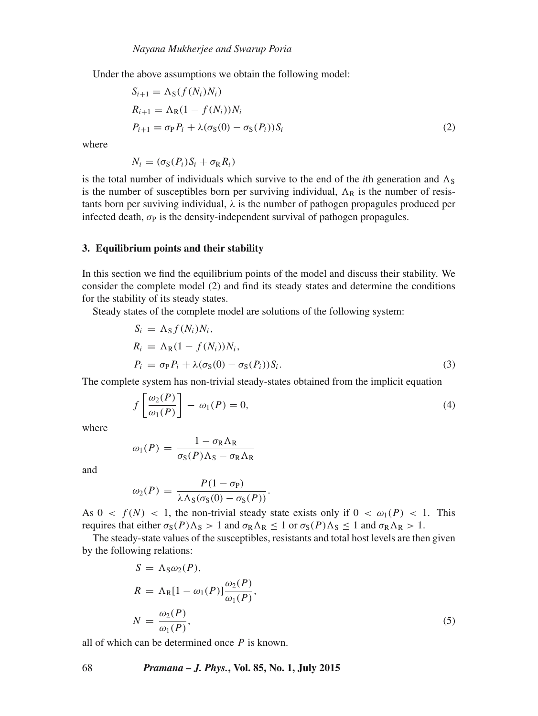Under the above assumptions we obtain the following model:

$$
S_{i+1} = \Lambda_S(f(N_i)N_i)
$$
  
\n
$$
R_{i+1} = \Lambda_R(1 - f(N_i))N_i
$$
  
\n
$$
P_{i+1} = \sigma_P P_i + \lambda(\sigma_S(0) - \sigma_S(P_i))S_i
$$
\n(2)

where

$$
N_i = (\sigma_S(P_i)S_i + \sigma_R R_i)
$$

is the total number of individuals which survive to the end of the *i*th generation and  $\Lambda_{\rm S}$ is the number of susceptibles born per surviving individual,  $\Lambda_R$  is the number of resistants born per suviving individual,  $\lambda$  is the number of pathogen propagules produced per infected death,  $\sigma_{\rm P}$  is the density-independent survival of pathogen propagules.

#### **3. Equilibrium points and their stability**

In this section we find the equilibrium points of the model and discuss their stability. We consider the complete model (2) and find its steady states and determine the conditions for the stability of its steady states.

Steady states of the complete model are solutions of the following system:

$$
S_i = \Lambda_S f(N_i) N_i,
$$
  
\n
$$
R_i = \Lambda_R (1 - f(N_i)) N_i,
$$
  
\n
$$
P_i = \sigma_P P_i + \lambda (\sigma_S (0) - \sigma_S (P_i)) S_i.
$$
\n(3)

The complete system has non-trivial steady-states obtained from the implicit equation

$$
f\left[\frac{\omega_2(P)}{\omega_1(P)}\right] - \omega_1(P) = 0,\tag{4}
$$

where

$$
\omega_1(P) = \frac{1 - \sigma_R \Lambda_R}{\sigma_S(P) \Lambda_S - \sigma_R \Lambda_R}
$$

and

$$
\omega_2(P) = \frac{P(1-\sigma_P)}{\lambda \Lambda_S(\sigma_S(0)-\sigma_S(P))}.
$$

As  $0 < f(N) < 1$ , the non-trivial steady state exists only if  $0 < \omega_1(P) < 1$ . This requires that either  $\sigma_S(P)\Lambda_S > 1$  and  $\sigma_R\Lambda_R \leq 1$  or  $\sigma_S(P)\Lambda_S \leq 1$  and  $\sigma_R\Lambda_R > 1$ .

The steady-state values of the susceptibles, resistants and total host levels are then given by the following relations:

$$
S = \Lambda_S \omega_2(P),
$$
  
\n
$$
R = \Lambda_R [1 - \omega_1(P)] \frac{\omega_2(P)}{\omega_1(P)},
$$
  
\n
$$
N = \frac{\omega_2(P)}{\omega_1(P)},
$$
\n(5)

all of which can be determined once  $P$  is known.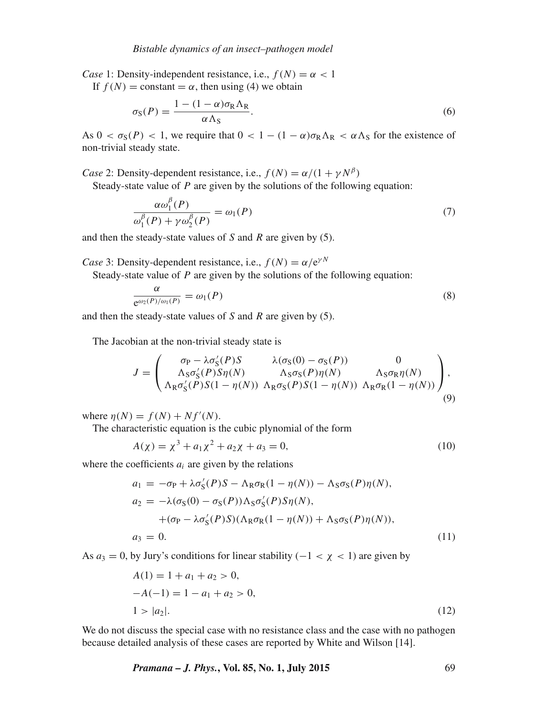*Case* 1: Density-independent resistance, i.e.,  $f(N) = \alpha < 1$ 

If  $f(N) = \text{constant} = \alpha$ , then using (4) we obtain

$$
\sigma_{\rm S}(P) = \frac{1 - (1 - \alpha)\sigma_{\rm R}\Lambda_{\rm R}}{\alpha\Lambda_{\rm S}}.\tag{6}
$$

As  $0 < \sigma_S(P) < 1$ , we require that  $0 < 1 - (1 - \alpha)\sigma_R\Lambda_R < \alpha\Lambda_S$  for the existence of non-trivial steady state.

*Case* 2: Density-dependent resistance, i.e.,  $f(N) = \alpha/(1 + \gamma N^{\beta})$ 

Steady-state value of  $P$  are given by the solutions of the following equation:

$$
\frac{\alpha \omega_1^{\beta}(P)}{\omega_1^{\beta}(P) + \gamma \omega_2^{\beta}(P)} = \omega_1(P) \tag{7}
$$

and then the steady-state values of  $S$  and  $R$  are given by (5).

*Case* 3: Density-dependent resistance, i.e.,  $f(N) = \alpha/e^{\gamma N}$ 

Steady-state value of  $P$  are given by the solutions of the following equation:

$$
\frac{\alpha}{e^{\omega_2(P)/\omega_1(P)}} = \omega_1(P) \tag{8}
$$

and then the steady-state values of  $S$  and  $R$  are given by  $(5)$ .

The Jacobian at the non-trivial steady state is

$$
J = \begin{pmatrix} \sigma_{P} - \lambda \sigma'_{S}(P)S & \lambda(\sigma_{S}(0) - \sigma_{S}(P)) & 0 \\ \Lambda_{S}\sigma'_{S}(P)S\eta(N) & \Lambda_{S}\sigma_{S}(P)\eta(N) & \Lambda_{S}\sigma_{R}\eta(N) \\ \Lambda_{R}\sigma'_{S}(P)S(1 - \eta(N)) & \Lambda_{R}\sigma_{S}(P)S(1 - \eta(N)) & \Lambda_{R}\sigma_{R}(1 - \eta(N)) \end{pmatrix},
$$
\n(9)

where  $\eta(N) = f(N) + Nf'(N)$ .

The characteristic equation is the cubic plynomial of the form

$$
A(\chi) = \chi^3 + a_1 \chi^2 + a_2 \chi + a_3 = 0,
$$
\n(10)

where the coefficients  $a_i$  are given by the relations

$$
a_1 = -\sigma_P + \lambda \sigma_S'(P)S - \Lambda_R \sigma_R (1 - \eta(N)) - \Lambda_S \sigma_S(P) \eta(N),
$$
  
\n
$$
a_2 = -\lambda (\sigma_S(0) - \sigma_S(P)) \Lambda_S \sigma_S'(P) S \eta(N),
$$
  
\n
$$
+ (\sigma_P - \lambda \sigma_S'(P) S) (\Lambda_R \sigma_R (1 - \eta(N)) + \Lambda_S \sigma_S(P) \eta(N)),
$$
  
\n
$$
a_3 = 0.
$$
\n(11)

As  $a_3 = 0$ , by Jury's conditions for linear stability ( $-1 < \chi < 1$ ) are given by

$$
A(1) = 1 + a_1 + a_2 > 0,
$$
  
\n
$$
-A(-1) = 1 - a_1 + a_2 > 0,
$$
  
\n
$$
1 > |a_2|.
$$
\n(12)

We do not discuss the special case with no resistance class and the case with no pathogen because detailed analysis of these cases are reported by White and Wilson [14].

*Pramana – J. Phys.***, Vol. 85, No. 1, July 2015** 69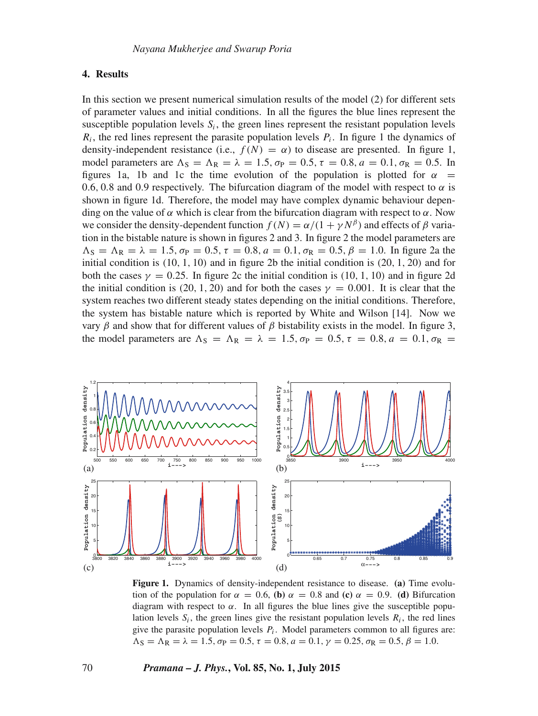## **4. Results**

In this section we present numerical simulation results of the model (2) for different sets of parameter values and initial conditions. In all the figures the blue lines represent the susceptible population levels  $S_i$ , the green lines represent the resistant population levels  $R_i$ , the red lines represent the parasite population levels  $P_i$ . In figure 1 the dynamics of density-independent resistance (i.e.,  $f(N) = \alpha$ ) to disease are presented. In figure 1, model parameters are  $\Lambda_{\rm S} = \Lambda_{\rm R} = \lambda = 1.5, \sigma_{\rm P} = 0.5, \tau = 0.8, a = 0.1, \sigma_{\rm R} = 0.5$ . In figures 1a, 1b and 1c the time evolution of the population is plotted for  $\alpha$  = 0.6, 0.8 and 0.9 respectively. The bifurcation diagram of the model with respect to  $\alpha$  is shown in figure 1d. Therefore, the model may have complex dynamic behaviour depending on the value of  $\alpha$  which is clear from the bifurcation diagram with respect to  $\alpha$ . Now we consider the density-dependent function  $f(N) = \alpha/(1 + \gamma N^{\beta})$  and effects of  $\beta$  variation in the bistable nature is shown in figures 2 and 3. In figure 2 the model parameters are  $\Lambda_{\rm S} = \Lambda_{\rm R} = \lambda = 1.5$ ,  $\sigma_{\rm P} = 0.5$ ,  $\tau = 0.8$ ,  $a = 0.1$ ,  $\sigma_{\rm R} = 0.5$ ,  $\beta = 1.0$ . In figure 2a the initial condition is  $(10, 1, 10)$  and in figure 2b the initial condition is  $(20, 1, 20)$  and for both the cases  $\gamma = 0.25$ . In figure 2c the initial condition is (10, 1, 10) and in figure 2d the initial condition is (20, 1, 20) and for both the cases  $\gamma = 0.001$ . It is clear that the system reaches two different steady states depending on the initial conditions. Therefore, the system has bistable nature which is reported by White and Wilson [14]. Now we vary β and show that for different values of β bistability exists in the model. In figure 3, the model parameters are  $\Lambda_{\rm S} = \Lambda_{\rm R} = \lambda = 1.5$ ,  $\sigma_{\rm P} = 0.5$ ,  $\tau = 0.8$ ,  $a = 0.1$ ,  $\sigma_{\rm R} =$ 



**Figure 1.** Dynamics of density-independent resistance to disease. **(a)** Time evolution of the population for  $\alpha = 0.6$ , **(b)**  $\alpha = 0.8$  and **(c)**  $\alpha = 0.9$ . **(d)** Bifurcation diagram with respect to  $\alpha$ . In all figures the blue lines give the susceptible population levels  $S_i$ , the green lines give the resistant population levels  $R_i$ , the red lines give the parasite population levels  $P_i$ . Model parameters common to all figures are:  $\Lambda_{\rm S} = \Lambda_{\rm R} = \lambda = 1.5, \sigma_{\rm P} = 0.5, \tau = 0.8, a = 0.1, \gamma = 0.25, \sigma_{\rm R} = 0.5, \beta = 1.0.$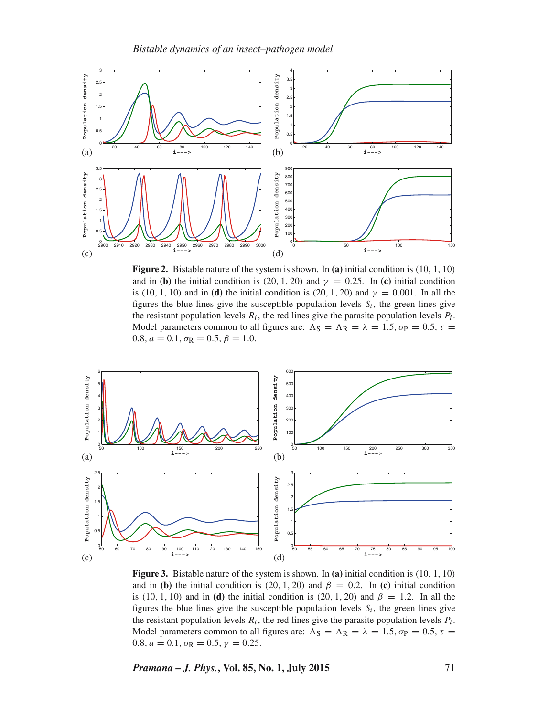

**Figure 2.** Bistable nature of the system is shown. In **(a)** initial condition is (10, 1, 10) and in **(b)** the initial condition is (20, 1, 20) and  $\gamma = 0.25$ . In **(c)** initial condition is (10, 1, 10) and in **(d)** the initial condition is (20, 1, 20) and  $\gamma = 0.001$ . In all the figures the blue lines give the susceptible population levels  $S_i$ , the green lines give the resistant population levels  $R_i$ , the red lines give the parasite population levels  $P_i$ . Model parameters common to all figures are:  $\Lambda$ <sub>S</sub> =  $\Lambda$ <sub>R</sub> =  $\lambda$  = 1.5,  $\sigma$ <sub>P</sub> = 0.5,  $\tau$  = 0.8,  $a = 0.1$ ,  $\sigma_R = 0.5$ ,  $\beta = 1.0$ .



**Figure 3.** Bistable nature of the system is shown. In **(a)** initial condition is (10, 1, 10) and in **(b)** the initial condition is (20, 1, 20) and  $\beta = 0.2$ . In **(c)** initial condition is (10, 1, 10) and in **(d)** the initial condition is (20, 1, 20) and  $\beta = 1.2$ . In all the figures the blue lines give the susceptible population levels  $S_i$ , the green lines give the resistant population levels  $R_i$ , the red lines give the parasite population levels  $P_i$ . Model parameters common to all figures are:  $\Lambda_S = \Lambda_R = \lambda = 1.5, \sigma_P = 0.5, \tau =$ 0.8,  $a = 0.1$ ,  $\sigma_R = 0.5$ ,  $\gamma = 0.25$ .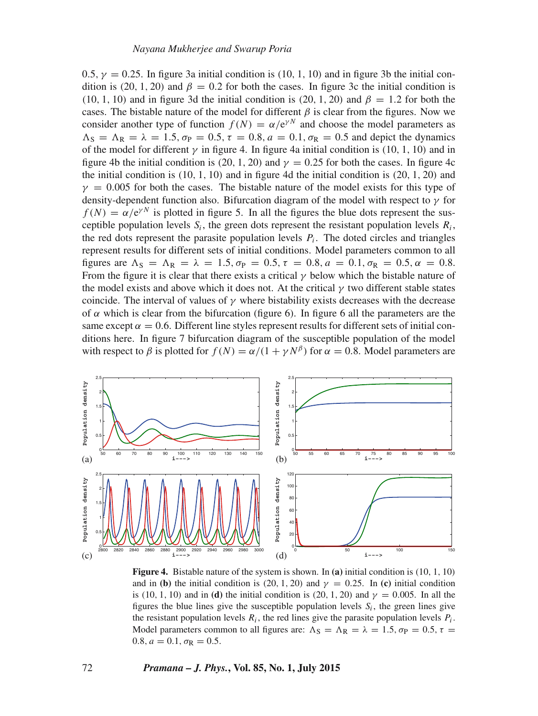0.5,  $v = 0.25$ . In figure 3a initial condition is (10, 1, 10) and in figure 3b the initial condition is (20, 1, 20) and  $\beta = 0.2$  for both the cases. In figure 3c the initial condition is (10, 1, 10) and in figure 3d the initial condition is (20, 1, 20) and  $\beta = 1.2$  for both the cases. The bistable nature of the model for different  $\beta$  is clear from the figures. Now we consider another type of function  $f(N) = \alpha/e^{\gamma N}$  and choose the model parameters as  $\Lambda_{\rm S} = \Lambda_{\rm R} = \lambda = 1.5, \sigma_{\rm P} = 0.5, \tau = 0.8, a = 0.1, \sigma_{\rm R} = 0.5$  and depict the dynamics of the model for different  $\gamma$  in figure 4. In figure 4a initial condition is (10, 1, 10) and in figure 4b the initial condition is (20, 1, 20) and  $\gamma = 0.25$  for both the cases. In figure 4c the initial condition is  $(10, 1, 10)$  and in figure 4d the initial condition is  $(20, 1, 20)$  and  $y = 0.005$  for both the cases. The bistable nature of the model exists for this type of density-dependent function also. Bifurcation diagram of the model with respect to  $\gamma$  for  $f(N) = \alpha/e^{\gamma N}$  is plotted in figure 5. In all the figures the blue dots represent the susceptible population levels  $S_i$ , the green dots represent the resistant population levels  $R_i$ , the red dots represent the parasite population levels  $P_i$ . The doted circles and triangles represent results for different sets of initial conditions. Model parameters common to all figures are  $\Lambda_{\rm S} = \Lambda_{\rm R} = \lambda = 1.5, \sigma_{\rm P} = 0.5, \tau = 0.8, a = 0.1, \sigma_{\rm R} = 0.5, \alpha = 0.8.$ From the figure it is clear that there exists a critical  $\gamma$  below which the bistable nature of the model exists and above which it does not. At the critical  $\gamma$  two different stable states coincide. The interval of values of  $\gamma$  where bistability exists decreases with the decrease of  $\alpha$  which is clear from the bifurcation (figure 6). In figure 6 all the parameters are the same except  $\alpha = 0.6$ . Different line styles represent results for different sets of initial conditions here. In figure 7 bifurcation diagram of the susceptible population of the model with respect to  $\beta$  is plotted for  $f(N) = \alpha/(1 + \gamma N^{\beta})$  for  $\alpha = 0.8$ . Model parameters are



**Figure 4.** Bistable nature of the system is shown. In **(a)** initial condition is (10, 1, 10) and in **(b)** the initial condition is (20, 1, 20) and  $\gamma = 0.25$ . In **(c)** initial condition is (10, 1, 10) and in **(d)** the initial condition is (20, 1, 20) and  $\gamma = 0.005$ . In all the figures the blue lines give the susceptible population levels  $S_i$ , the green lines give the resistant population levels  $R_i$ , the red lines give the parasite population levels  $P_i$ . Model parameters common to all figures are:  $\Lambda_S = \Lambda_R = \lambda = 1.5, \sigma_P = 0.5, \tau =$ 0.8,  $a = 0.1$ ,  $\sigma_R = 0.5$ .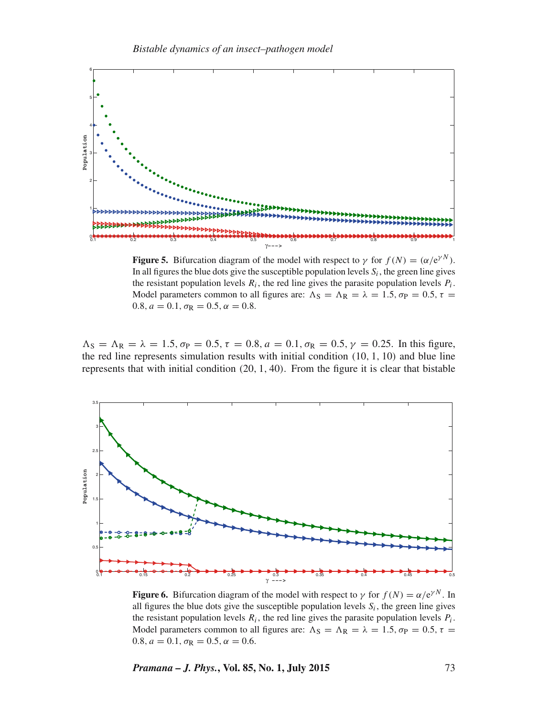

**Figure 5.** Bifurcation diagram of the model with respect to  $\gamma$  for  $f(N) = (\alpha/e^{\gamma N})$ . In all figures the blue dots give the susceptible population levels  $S_i$ , the green line gives the resistant population levels  $R_i$ , the red line gives the parasite population levels  $P_i$ . Model parameters common to all figures are:  $\Lambda$ <sub>S</sub> =  $\Lambda$ <sub>R</sub> =  $\lambda$  = 1.5,  $\sigma$ <sub>P</sub> = 0.5,  $\tau$  = 0.8,  $a = 0.1$ ,  $\sigma_R = 0.5$ ,  $\alpha = 0.8$ .

 $\Lambda_{\rm S} = \Lambda_{\rm R} = \lambda = 1.5, \sigma_{\rm P} = 0.5, \tau = 0.8, a = 0.1, \sigma_{\rm R} = 0.5, \gamma = 0.25$ . In this figure, the red line represents simulation results with initial condition (10, 1, 10) and blue line represents that with initial condition (20, 1, 40). From the figure it is clear that bistable



**Figure 6.** Bifurcation diagram of the model with respect to  $\gamma$  for  $f(N) = \alpha/e^{\gamma N}$ . In all figures the blue dots give the susceptible population levels  $S_i$ , the green line gives the resistant population levels  $R_i$ , the red line gives the parasite population levels  $P_i$ . Model parameters common to all figures are:  $\Lambda$ <sub>S</sub> =  $\Lambda$ <sub>R</sub> =  $\lambda$  = 1.5,  $\sigma$ <sub>P</sub> = 0.5,  $\tau$  = 0.8,  $a = 0.1$ ,  $\sigma_R = 0.5$ ,  $\alpha = 0.6$ .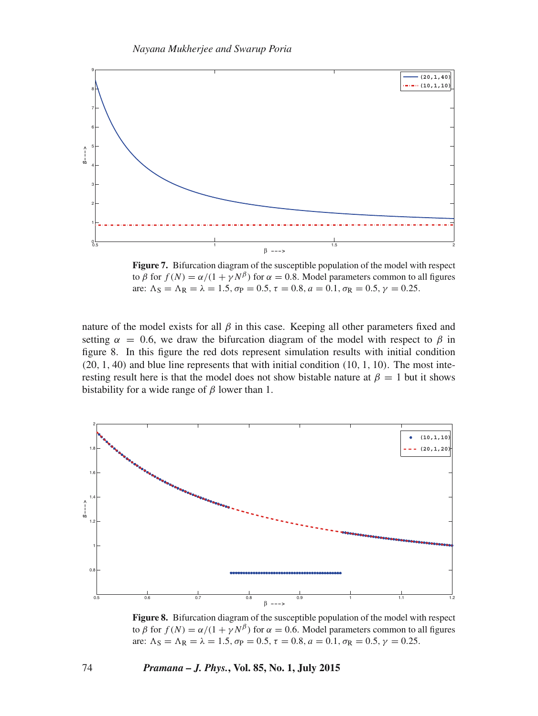

Figure 7. Bifurcation diagram of the susceptible population of the model with respect to  $\beta$  for  $f(N) = \alpha/(1 + \gamma N^{\beta})$  for  $\alpha = 0.8$ . Model parameters common to all figures are:  $\Lambda$ <sub>S</sub> =  $\Lambda$ <sub>R</sub> =  $\lambda$  = 1.5,  $\sigma$ <sub>P</sub> = 0.5,  $\tau$  = 0.8,  $a$  = 0.1,  $\sigma$ <sub>R</sub> = 0.5,  $\gamma$  = 0.25.

nature of the model exists for all  $\beta$  in this case. Keeping all other parameters fixed and setting  $\alpha = 0.6$ , we draw the bifurcation diagram of the model with respect to  $\beta$  in figure 8. In this figure the red dots represent simulation results with initial condition  $(20, 1, 40)$  and blue line represents that with initial condition  $(10, 1, 10)$ . The most interesting result here is that the model does not show bistable nature at  $\beta = 1$  but it shows bistability for a wide range of  $\beta$  lower than 1.



**Figure 8.** Bifurcation diagram of the susceptible population of the model with respect to  $\beta$  for  $f(N) = \alpha/(1 + \gamma N^{\beta})$  for  $\alpha = 0.6$ . Model parameters common to all figures are:  $\Lambda_S = \Lambda_R = \lambda = 1.5$ ,  $\sigma_P = 0.5$ ,  $\tau = 0.8$ ,  $a = 0.1$ ,  $\sigma_R = 0.5$ ,  $\gamma = 0.25$ .